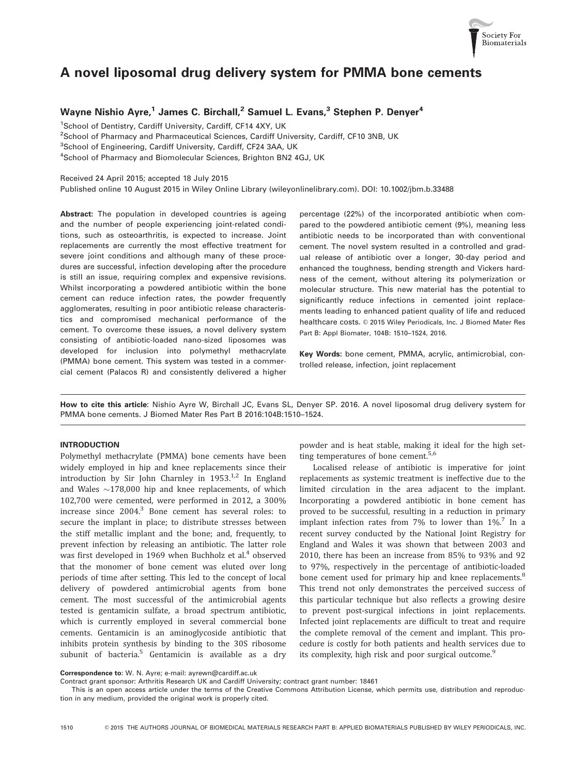

# A novel liposomal drug delivery system for PMMA bone cements

# Wayne Nishio Ayre,<sup>1</sup> James C. Birchall,<sup>2</sup> Samuel L. Evans,<sup>3</sup> Stephen P. Denyer<sup>4</sup>

<sup>1</sup>School of Dentistry, Cardiff University, Cardiff, CF14 4XY, UK

<sup>2</sup>School of Pharmacy and Pharmaceutical Sciences, Cardiff University, Cardiff, CF10 3NB, UK

<sup>3</sup>School of Engineering, Cardiff University, Cardiff, CF24 3AA, UK

4 School of Pharmacy and Biomolecular Sciences, Brighton BN2 4GJ, UK

Received 24 April 2015; accepted 18 July 2015

Published online 10 August 2015 in Wiley Online Library (wileyonlinelibrary.com). DOI: 10.1002/jbm.b.33488

Abstract: The population in developed countries is ageing and the number of people experiencing joint-related conditions, such as osteoarthritis, is expected to increase. Joint replacements are currently the most effective treatment for severe joint conditions and although many of these procedures are successful, infection developing after the procedure is still an issue, requiring complex and expensive revisions. Whilst incorporating a powdered antibiotic within the bone cement can reduce infection rates, the powder frequently agglomerates, resulting in poor antibiotic release characteristics and compromised mechanical performance of the cement. To overcome these issues, a novel delivery system consisting of antibiotic-loaded nano-sized liposomes was developed for inclusion into polymethyl methacrylate (PMMA) bone cement. This system was tested in a commercial cement (Palacos R) and consistently delivered a higher percentage (22%) of the incorporated antibiotic when compared to the powdered antibiotic cement (9%), meaning less antibiotic needs to be incorporated than with conventional cement. The novel system resulted in a controlled and gradual release of antibiotic over a longer, 30-day period and enhanced the toughness, bending strength and Vickers hardness of the cement, without altering its polymerization or molecular structure. This new material has the potential to significantly reduce infections in cemented joint replacements leading to enhanced patient quality of life and reduced healthcare costs. © 2015 Wiley Periodicals, Inc. J Biomed Mater Res Part B: Appl Biomater, 104B: 1510–1524, 2016.

Key Words: bone cement, PMMA, acrylic, antimicrobial, controlled release, infection, joint replacement

How to cite this article: Nishio Ayre W, Birchall JC, Evans SL, Denyer SP. 2016. A novel liposomal drug delivery system for PMMA bone cements. J Biomed Mater Res Part B 2016:104B:1510–1524.

## INTRODUCTION

Polymethyl methacrylate (PMMA) bone cements have been widely employed in hip and knee replacements since their introduction by Sir John Charnley in  $1953<sup>1,2</sup>$  In England and Wales  $\sim$ 178,000 hip and knee replacements, of which 102,700 were cemented, were performed in 2012, a 300% increase since 2004.3 Bone cement has several roles: to secure the implant in place; to distribute stresses between the stiff metallic implant and the bone; and, frequently, to prevent infection by releasing an antibiotic. The latter role was first developed in 1969 when Buchholz et al.<sup>4</sup> observed that the monomer of bone cement was eluted over long periods of time after setting. This led to the concept of local delivery of powdered antimicrobial agents from bone cement. The most successful of the antimicrobial agents tested is gentamicin sulfate, a broad spectrum antibiotic, which is currently employed in several commercial bone cements. Gentamicin is an aminoglycoside antibiotic that inhibits protein synthesis by binding to the 30S ribosome subunit of bacteria.<sup>5</sup> Gentamicin is available as a dry powder and is heat stable, making it ideal for the high setting temperatures of bone cement.<sup>5,6</sup>

Localised release of antibiotic is imperative for joint replacements as systemic treatment is ineffective due to the limited circulation in the area adjacent to the implant. Incorporating a powdered antibiotic in bone cement has proved to be successful, resulting in a reduction in primary implant infection rates from 7% to lower than  $1\%$ .<sup>7</sup> In a recent survey conducted by the National Joint Registry for England and Wales it was shown that between 2003 and 2010, there has been an increase from 85% to 93% and 92 to 97%, respectively in the percentage of antibiotic-loaded bone cement used for primary hip and knee replacements.<sup>8</sup> This trend not only demonstrates the perceived success of this particular technique but also reflects a growing desire to prevent post-surgical infections in joint replacements. Infected joint replacements are difficult to treat and require the complete removal of the cement and implant. This procedure is costly for both patients and health services due to its complexity, high risk and poor surgical outcome.<sup>9</sup>

Contract grant sponsor: Arthritis Research UK and Cardiff University; contract grant number: 18461

This is an open access article under the terms of the [Creative Commons Attribution](http://creativecommons.org/licenses/by/4.0/) License, which permits use, distribution and reproduction in any medium, provided the original work is properly cited.

Correspondence to: W. N. Ayre; e-mail: ayrewn@cardiff.ac.uk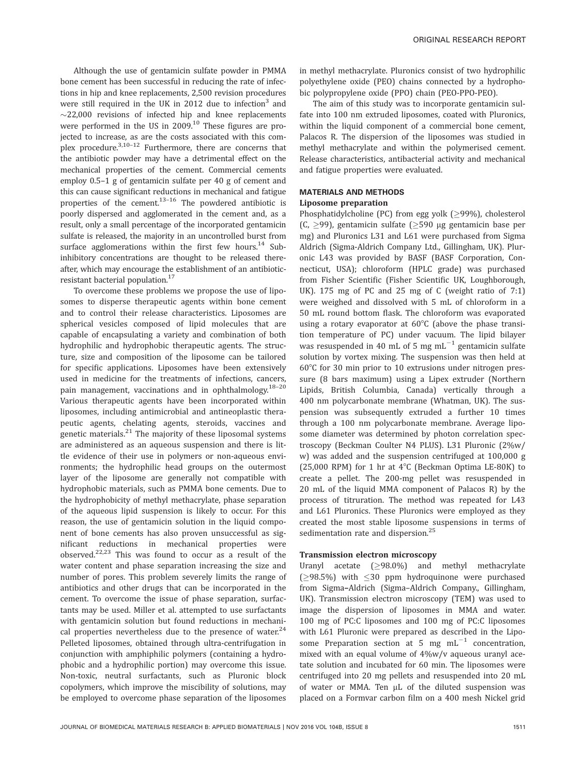Although the use of gentamicin sulfate powder in PMMA bone cement has been successful in reducing the rate of infections in hip and knee replacements, 2,500 revision procedures were still required in the UK in 2012 due to infection<sup>3</sup> and  $\sim$ 22,000 revisions of infected hip and knee replacements were performed in the US in  $2009$ <sup>10</sup> These figures are projected to increase, as are the costs associated with this complex procedure. $3,10-12$  Furthermore, there are concerns that the antibiotic powder may have a detrimental effect on the mechanical properties of the cement. Commercial cements employ 0.5–1 g of gentamicin sulfate per 40 g of cement and this can cause significant reductions in mechanical and fatigue properties of the cement. $13-16$  The powdered antibiotic is poorly dispersed and agglomerated in the cement and, as a result, only a small percentage of the incorporated gentamicin sulfate is released, the majority in an uncontrolled burst from surface agglomerations within the first few hours.<sup>14</sup> Subinhibitory concentrations are thought to be released thereafter, which may encourage the establishment of an antibioticresistant bacterial population.<sup>17</sup>

To overcome these problems we propose the use of liposomes to disperse therapeutic agents within bone cement and to control their release characteristics. Liposomes are spherical vesicles composed of lipid molecules that are capable of encapsulating a variety and combination of both hydrophilic and hydrophobic therapeutic agents. The structure, size and composition of the liposome can be tailored for specific applications. Liposomes have been extensively used in medicine for the treatments of infections, cancers, pain management, vaccinations and in ophthalmology.<sup>18-20</sup> Various therapeutic agents have been incorporated within liposomes, including antimicrobial and antineoplastic therapeutic agents, chelating agents, steroids, vaccines and genetic materials.<sup>21</sup> The majority of these liposomal systems are administered as an aqueous suspension and there is little evidence of their use in polymers or non-aqueous environments; the hydrophilic head groups on the outermost layer of the liposome are generally not compatible with hydrophobic materials, such as PMMA bone cements. Due to the hydrophobicity of methyl methacrylate, phase separation of the aqueous lipid suspension is likely to occur. For this reason, the use of gentamicin solution in the liquid component of bone cements has also proven unsuccessful as significant reductions in mechanical properties were observed.22,23 This was found to occur as a result of the water content and phase separation increasing the size and number of pores. This problem severely limits the range of antibiotics and other drugs that can be incorporated in the cement. To overcome the issue of phase separation, surfactants may be used. Miller et al. attempted to use surfactants with gentamicin solution but found reductions in mechanical properties nevertheless due to the presence of water. $24$ Pelleted liposomes, obtained through ultra-centrifugation in conjunction with amphiphilic polymers (containing a hydrophobic and a hydrophilic portion) may overcome this issue. Non-toxic, neutral surfactants, such as Pluronic block copolymers, which improve the miscibility of solutions, may be employed to overcome phase separation of the liposomes

in methyl methacrylate. Pluronics consist of two hydrophilic polyethylene oxide (PEO) chains connected by a hydrophobic polypropylene oxide (PPO) chain (PEO-PPO-PEO).

The aim of this study was to incorporate gentamicin sulfate into 100 nm extruded liposomes, coated with Pluronics, within the liquid component of a commercial bone cement, Palacos R. The dispersion of the liposomes was studied in methyl methacrylate and within the polymerised cement. Release characteristics, antibacterial activity and mechanical and fatigue properties were evaluated.

# MATERIALS AND METHODS

#### Liposome preparation

Phosphatidylcholine (PC) from egg yolk ( $\geq$ 99%), cholesterol  $(C, >99)$ , gentamicin sulfate ( $>590$  µg gentamicin base per mg) and Pluronics L31 and L61 were purchased from Sigma Aldrich (Sigma-Aldrich Company Ltd., Gillingham, UK). Pluronic L43 was provided by BASF (BASF Corporation, Connecticut, USA); chloroform (HPLC grade) was purchased from Fisher Scientific (Fisher Scientific UK, Loughborough, UK). 175 mg of PC and 25 mg of C (weight ratio of 7:1) were weighed and dissolved with 5 mL of chloroform in a 50 mL round bottom flask. The chloroform was evaporated using a rotary evaporator at  $60^{\circ}$ C (above the phase transition temperature of PC) under vacuum. The lipid bilayer was resuspended in 40 mL of 5 mg  $mL^{-1}$  gentamicin sulfate solution by vortex mixing. The suspension was then held at  $60^{\circ}$ C for 30 min prior to 10 extrusions under nitrogen pressure (8 bars maximum) using a Lipex extruder (Northern Lipids, British Columbia, Canada) vertically through a 400 nm polycarbonate membrane (Whatman, UK). The suspension was subsequently extruded a further 10 times through a 100 nm polycarbonate membrane. Average liposome diameter was determined by photon correlation spectroscopy (Beckman Coulter N4 PLUS). L31 Pluronic (2%w/ w) was added and the suspension centrifuged at 100,000 g (25,000 RPM) for 1 hr at  $4^{\circ}$ C (Beckman Optima LE-80K) to create a pellet. The 200-mg pellet was resuspended in 20 mL of the liquid MMA component of Palacos R) by the process of titruration. The method was repeated for L43 and L61 Pluronics. These Pluronics were employed as they created the most stable liposome suspensions in terms of sedimentation rate and dispersion.<sup>25</sup>

#### Transmission electron microscopy

Uranyl acetate  $(≥98.0%)$  and methyl methacrylate ( $\geq$ 98.5%) with  $\leq$ 30 ppm hydroquinone were purchased from Sigma–Aldrich (Sigma–Aldrich Company., Gillingham, UK). Transmission electron microscopy (TEM) was used to image the dispersion of liposomes in MMA and water. 100 mg of PC:C liposomes and 100 mg of PC:C liposomes with L61 Pluronic were prepared as described in the Liposome Preparation section at 5 mg  $mL^{-1}$  concentration, mixed with an equal volume of 4%w/v aqueous uranyl acetate solution and incubated for 60 min. The liposomes were centrifuged into 20 mg pellets and resuspended into 20 mL of water or MMA. Ten µL of the diluted suspension was placed on a Formvar carbon film on a 400 mesh Nickel grid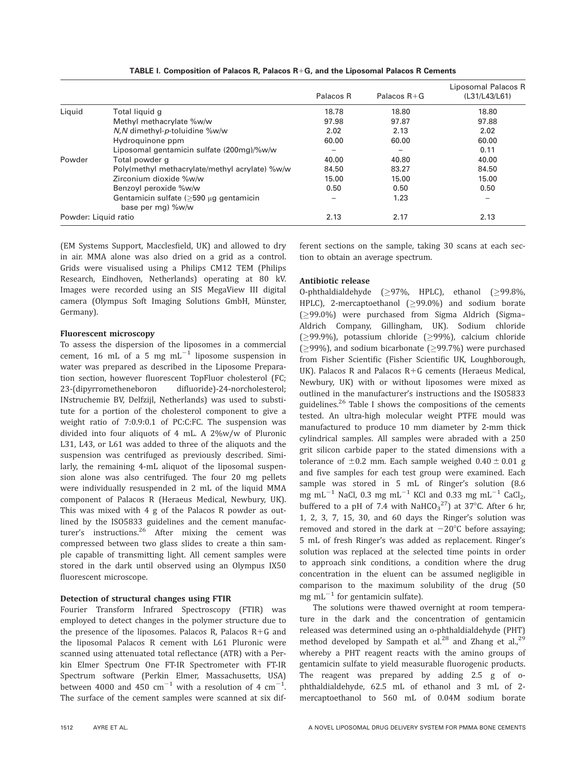|                      |                                                                | Palacos R       | Palacos $R + G$ | Liposomal Palacos R<br>(L31/L43/L61) |
|----------------------|----------------------------------------------------------------|-----------------|-----------------|--------------------------------------|
| Liquid               | Total liquid q                                                 | 18.78           | 18.80           | 18.80                                |
|                      | Methyl methacrylate %w/w                                       | 97.98           | 97.87           | 97.88                                |
|                      | $N, N$ dimethyl-p-toluidine $\%w/w$                            | 2.02            | 2.13            | 2.02                                 |
|                      | Hydroguinone ppm                                               | 60.00           | 60.00           | 60.00                                |
|                      | Liposomal gentamicin sulfate (200mg)/%w/w                      | $\qquad \qquad$ | $\qquad \qquad$ | 0.11                                 |
| Powder               | Total powder g                                                 | 40.00           | 40.80           | 40.00                                |
|                      | Poly(methyl methacrylate/methyl acrylate) %w/w                 | 84.50           | 83.27           | 84.50                                |
|                      | Zirconium dioxide %w/w                                         | 15.00           | 15.00           | 15.00                                |
|                      | Benzoyl peroxide %w/w                                          | 0.50            | 0.50            | 0.50                                 |
|                      | Gentamicin sulfate $($ >590 µg gentamicin<br>base per mg) %w/w |                 | 1.23            |                                      |
| Powder: Liquid ratio |                                                                | 2.13            | 2.17            | 2.13                                 |

TABLE I. Composition of Palacos R, Palacos  $R+G$ , and the Liposomal Palacos R Cements

(EM Systems Support, Macclesfield, UK) and allowed to dry in air. MMA alone was also dried on a grid as a control. Grids were visualised using a Philips CM12 TEM (Philips Research, Eindhoven, Netherlands) operating at 80 kV. Images were recorded using an SIS MegaView III digital camera (Olympus Soft Imaging Solutions GmbH, Münster, Germany).

# Fluorescent microscopy

To assess the dispersion of the liposomes in a commercial cement, 16 mL of a 5 mg  $mL^{-1}$  liposome suspension in water was prepared as described in the Liposome Preparation section, however fluorescent TopFluor cholesterol (FC; 23-(dipyrrometheneboron difluoride)-24-norcholesterol; INstruchemie BV, Delfzijl, Netherlands) was used to substitute for a portion of the cholesterol component to give a weight ratio of 7:0.9:0.1 of PC:C:FC. The suspension was divided into four aliquots of 4 mL. A 2%w/w of Pluronic L31, L43, or L61 was added to three of the aliquots and the suspension was centrifuged as previously described. Similarly, the remaining 4-mL aliquot of the liposomal suspension alone was also centrifuged. The four 20 mg pellets were individually resuspended in 2 mL of the liquid MMA component of Palacos R (Heraeus Medical, Newbury, UK). This was mixed with 4 g of the Palacos R powder as outlined by the ISO5833 guidelines and the cement manufacturer's instructions.<sup>26</sup> After mixing the cement was compressed between two glass slides to create a thin sample capable of transmitting light. All cement samples were stored in the dark until observed using an Olympus IX50 fluorescent microscope.

# Detection of structural changes using FTIR

Fourier Transform Infrared Spectroscopy (FTIR) was employed to detect changes in the polymer structure due to the presence of the liposomes. Palacos R, Palacos  $R+G$  and the liposomal Palacos R cement with L61 Pluronic were scanned using attenuated total reflectance (ATR) with a Perkin Elmer Spectrum One FT-IR Spectrometer with FT-IR Spectrum software (Perkin Elmer, Massachusetts, USA) between 4000 and 450  $\text{cm}^{-1}$  with a resolution of 4  $\text{cm}^{-1}$ . . The surface of the cement samples were scanned at six different sections on the sample, taking 30 scans at each section to obtain an average spectrum.

## Antibiotic release

O-phthaldialdehyde  $(≥97%$ , HPLC), ethanol  $(≥99.8%$ , HPLC), 2-mercaptoethanol ( $\geq$ 99.0%) and sodium borate (99.0%) were purchased from Sigma Aldrich (Sigma– Aldrich Company, Gillingham, UK). Sodium chloride  $(≥99.9%)$ , potassium chloride  $(≥99%)$ , calcium chloride  $(299%)$ , and sodium bicarbonate (299.7%) were purchased from Fisher Scientific (Fisher Scientific UK, Loughborough, UK). Palacos R and Palacos  $R+G$  cements (Heraeus Medical, Newbury, UK) with or without liposomes were mixed as outlined in the manufacturer's instructions and the ISO5833 guidelines.<sup>26</sup> Table I shows the compositions of the cements tested. An ultra-high molecular weight PTFE mould was manufactured to produce 10 mm diameter by 2-mm thick cylindrical samples. All samples were abraded with a 250 grit silicon carbide paper to the stated dimensions with a tolerance of  $\pm 0.2$  mm. Each sample weighed  $0.40 \pm 0.01$  g and five samples for each test group were examined. Each sample was stored in 5 mL of Ringer's solution (8.6 mg mL<sup>-1</sup> NaCl, 0.3 mg mL<sup>-1</sup> KCl and 0.33 mg mL<sup>-1</sup> CaCl<sub>2</sub>, buffered to a pH of 7.4 with  $\text{NaHCO}_3^{27}$  at 37 $\textdegree$ C. After 6 hr, 1, 2, 3, 7, 15, 30, and 60 days the Ringer's solution was removed and stored in the dark at  $-20^{\circ}$ C before assaying; 5 mL of fresh Ringer's was added as replacement. Ringer's solution was replaced at the selected time points in order to approach sink conditions, a condition where the drug concentration in the eluent can be assumed negligible in comparison to the maximum solubility of the drug (50 mg mL $^{-1}$  for gentamicin sulfate).

The solutions were thawed overnight at room temperature in the dark and the concentration of gentamicin released was determined using an o-phthaldialdehyde (PHT) method developed by Sampath et al.<sup>28</sup> and Zhang et al.,<sup>29</sup> whereby a PHT reagent reacts with the amino groups of gentamicin sulfate to yield measurable fluorogenic products. The reagent was prepared by adding 2.5 g of ophthaldialdehyde, 62.5 mL of ethanol and 3 mL of 2 mercaptoethanol to 560 mL of 0.04M sodium borate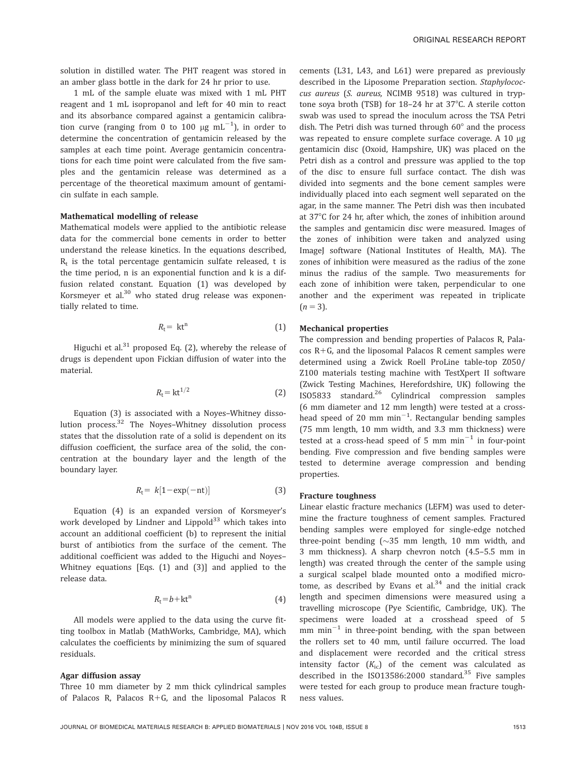solution in distilled water. The PHT reagent was stored in an amber glass bottle in the dark for 24 hr prior to use.

1 mL of the sample eluate was mixed with 1 mL PHT reagent and 1 mL isopropanol and left for 40 min to react and its absorbance compared against a gentamicin calibration curve (ranging from 0 to 100  $\mu$ g mL $^{-1}$ ), in order to determine the concentration of gentamicin released by the samples at each time point. Average gentamicin concentrations for each time point were calculated from the five samples and the gentamicin release was determined as a percentage of the theoretical maximum amount of gentamicin sulfate in each sample.

#### Mathematical modelling of release

Mathematical models were applied to the antibiotic release data for the commercial bone cements in order to better understand the release kinetics. In the equations described,  $R_t$  is the total percentage gentamicin sulfate released, t is the time period, n is an exponential function and k is a diffusion related constant. Equation (1) was developed by Korsmeyer et al. $30$  who stated drug release was exponentially related to time.

$$
R_{t} = kt^{n} \tag{1}
$$

Higuchi et al. $31$  proposed Eq. (2), whereby the release of drugs is dependent upon Fickian diffusion of water into the material.

$$
R_{\rm t} = \mathrm{kt}^{1/2} \tag{2}
$$

Equation (3) is associated with a Noyes–Whitney dissolution process.<sup>32</sup> The Noyes-Whitney dissolution process states that the dissolution rate of a solid is dependent on its diffusion coefficient, the surface area of the solid, the concentration at the boundary layer and the length of the boundary layer.

$$
R_{t} = k[1 - \exp(-nt)] \tag{3}
$$

Equation (4) is an expanded version of Korsmeyer's work developed by Lindner and Lippold $33$  which takes into account an additional coefficient (b) to represent the initial burst of antibiotics from the surface of the cement. The additional coefficient was added to the Higuchi and Noyes– Whitney equations [Eqs. (1) and (3)] and applied to the release data.

$$
R_{t} = b + kt^{n} \tag{4}
$$

All models were applied to the data using the curve fitting toolbox in Matlab (MathWorks, Cambridge, MA), which calculates the coefficients by minimizing the sum of squared residuals.

#### Agar diffusion assay

Three 10 mm diameter by 2 mm thick cylindrical samples of Palacos R, Palacos  $R+G$ , and the liposomal Palacos R

cements (L31, L43, and L61) were prepared as previously described in the Liposome Preparation section. Staphylococcus aureus (S. aureus, NCIMB 9518) was cultured in tryptone soya broth (TSB) for  $18-24$  hr at  $37^{\circ}$ C. A sterile cotton swab was used to spread the inoculum across the TSA Petri dish. The Petri dish was turned through  $60^\circ$  and the process was repeated to ensure complete surface coverage. A 10 µg gentamicin disc (Oxoid, Hampshire, UK) was placed on the Petri dish as a control and pressure was applied to the top of the disc to ensure full surface contact. The dish was divided into segments and the bone cement samples were individually placed into each segment well separated on the agar, in the same manner. The Petri dish was then incubated at 37°C for 24 hr, after which, the zones of inhibition around the samples and gentamicin disc were measured. Images of the zones of inhibition were taken and analyzed using ImageJ software (National Institutes of Health, MA). The zones of inhibition were measured as the radius of the zone minus the radius of the sample. Two measurements for each zone of inhibition were taken, perpendicular to one another and the experiment was repeated in triplicate  $(n = 3)$ .

# Mechanical properties

The compression and bending properties of Palacos R, Pala $cos R + G$ , and the liposomal Palacos R cement samples were determined using a Zwick Roell ProLine table-top Z050/ Z100 materials testing machine with TestXpert II software (Zwick Testing Machines, Herefordshire, UK) following the ISO5833 standard.26 Cylindrical compression samples (6 mm diameter and 12 mm length) were tested at a crosshead speed of 20 mm  $min^{-1}$ . Rectangular bending samples (75 mm length, 10 mm width, and 3.3 mm thickness) were tested at a cross-head speed of 5 mm  $min^{-1}$  in four-point bending. Five compression and five bending samples were tested to determine average compression and bending properties.

#### Fracture toughness

Linear elastic fracture mechanics (LEFM) was used to determine the fracture toughness of cement samples. Fractured bending samples were employed for single-edge notched three-point bending  $(\sim]35$  mm length, 10 mm width, and 3 mm thickness). A sharp chevron notch (4.5–5.5 mm in length) was created through the center of the sample using a surgical scalpel blade mounted onto a modified microtome, as described by Evans et  $al^{34}$  and the initial crack length and specimen dimensions were measured using a travelling microscope (Pye Scientific, Cambridge, UK). The specimens were loaded at a crosshead speed of 5 mm  $min^{-1}$  in three-point bending, with the span between the rollers set to 40 mm, until failure occurred. The load and displacement were recorded and the critical stress intensity factor  $(K_{ic})$  of the cement was calculated as described in the ISO13586:2000 standard.<sup>35</sup> Five samples were tested for each group to produce mean fracture toughness values.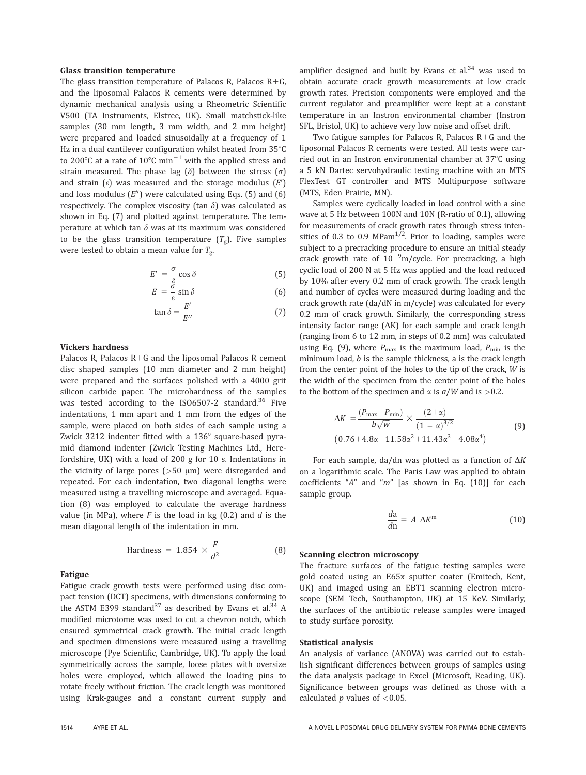#### Glass transition temperature

The glass transition temperature of Palacos R, Palacos R+G, and the liposomal Palacos R cements were determined by dynamic mechanical analysis using a Rheometric Scientific V500 (TA Instruments, Elstree, UK). Small matchstick-like samples (30 mm length, 3 mm width, and 2 mm height) were prepared and loaded sinusoidally at a frequency of 1 Hz in a dual cantilever configuration whilst heated from  $35^{\circ}$ C to 200°C at a rate of 10°C min<sup>-1</sup> with the applied stress and strain measured. The phase lag ( $\delta$ ) between the stress ( $\sigma$ ) and strain ( $\varepsilon$ ) was measured and the storage modulus  $(E')$ and loss modulus  $(E'')$  were calculated using Eqs. (5) and (6) respectively. The complex viscosity (tan  $\delta$ ) was calculated as shown in Eq. (7) and plotted against temperature. The temperature at which tan  $\delta$  was at its maximum was considered to be the glass transition temperature  $(T_g)$ . Five samples were tested to obtain a mean value for  $T_{\rm g}$ .

$$
E' = -\frac{\sigma}{\varepsilon} \cos \delta \tag{5}
$$

$$
E = -\frac{\breve{\sigma}}{\varepsilon} \sin \delta \tag{6}
$$

$$
\tan \delta = \frac{E'}{E''}
$$
 (7)

#### Vickers hardness

Palacos R, Palacos  $R+G$  and the liposomal Palacos R cement disc shaped samples (10 mm diameter and 2 mm height) were prepared and the surfaces polished with a 4000 grit silicon carbide paper. The microhardness of the samples was tested according to the ISO6507-2 standard.<sup>36</sup> Five indentations, 1 mm apart and 1 mm from the edges of the sample, were placed on both sides of each sample using a Zwick 3212 indenter fitted with a  $136^\circ$  square-based pyramid diamond indenter (Zwick Testing Machines Ltd., Herefordshire, UK) with a load of 200 g for 10 s. Indentations in the vicinity of large pores ( $>50 \mu m$ ) were disregarded and repeated. For each indentation, two diagonal lengths were measured using a travelling microscope and averaged. Equation (8) was employed to calculate the average hardness value (in MPa), where  $F$  is the load in kg  $(0.2)$  and  $d$  is the mean diagonal length of the indentation in mm.

$$
Hardness = 1.854 \times \frac{F}{d^2}
$$
 (8)

#### Fatigue

Fatigue crack growth tests were performed using disc compact tension (DCT) specimens, with dimensions conforming to the ASTM E399 standard<sup>37</sup> as described by Evans et al.<sup>34</sup> A modified microtome was used to cut a chevron notch, which ensured symmetrical crack growth. The initial crack length and specimen dimensions were measured using a travelling microscope (Pye Scientific, Cambridge, UK). To apply the load symmetrically across the sample, loose plates with oversize holes were employed, which allowed the loading pins to rotate freely without friction. The crack length was monitored using Krak-gauges and a constant current supply and amplifier designed and built by Evans et  $al.^{34}$  was used to obtain accurate crack growth measurements at low crack growth rates. Precision components were employed and the current regulator and preamplifier were kept at a constant temperature in an Instron environmental chamber (Instron SFL, Bristol, UK) to achieve very low noise and offset drift.

Two fatigue samples for Palacos R, Palacos  $R+G$  and the liposomal Palacos R cements were tested. All tests were carried out in an Instron environmental chamber at  $37^{\circ}$ C using a 5 kN Dartec servohydraulic testing machine with an MTS FlexTest GT controller and MTS Multipurpose software (MTS, Eden Prairie, MN).

Samples were cyclically loaded in load control with a sine wave at 5 Hz between 100N and 10N (R-ratio of 0.1), allowing for measurements of crack growth rates through stress intensities of 0.3 to 0.9 MPa $m^{1/2}$ . Prior to loading, samples were subject to a precracking procedure to ensure an initial steady crack growth rate of  $10^{-9}$ m/cycle. For precracking, a high cyclic load of 200 N at 5 Hz was applied and the load reduced by 10% after every 0.2 mm of crack growth. The crack length and number of cycles were measured during loading and the crack growth rate (da/dN in m/cycle) was calculated for every 0.2 mm of crack growth. Similarly, the corresponding stress intensity factor range  $( \Delta K )$  for each sample and crack length (ranging from 6 to 12 mm, in steps of 0.2 mm) was calculated using Eq. (9), where  $P_{\text{max}}$  is the maximum load,  $P_{\text{min}}$  is the minimum load, *b* is the sample thickness, a is the crack length from the center point of the holes to the tip of the crack, W is the width of the specimen from the center point of the holes to the bottom of the specimen and  $\alpha$  is  $a/W$  and is >0.2.

$$
\Delta K = \frac{(P_{\text{max}} - P_{\text{min}})}{b\sqrt{w}} \times \frac{(2+\alpha)}{(1-\alpha)^{3/2}}
$$
(9)  
(0.76+4.8\alpha-11.58\alpha^2+11.43\alpha^3-4.08\alpha^4)

For each sample, da/dn was plotted as a function of  $\Delta K$ on a logarithmic scale. The Paris Law was applied to obtain coefficients " $A$ " and " $m$ " [as shown in Eq. (10)] for each sample group.

$$
\frac{da}{dn} = A \Delta K^m \tag{10}
$$

#### Scanning electron microscopy

The fracture surfaces of the fatigue testing samples were gold coated using an E65x sputter coater (Emitech, Kent, UK) and imaged using an EBT1 scanning electron microscope (SEM Tech, Southampton, UK) at 15 KeV. Similarly, the surfaces of the antibiotic release samples were imaged to study surface porosity.

#### Statistical analysis

An analysis of variance (ANOVA) was carried out to establish significant differences between groups of samples using the data analysis package in Excel (Microsoft, Reading, UK). Significance between groups was defined as those with a calculated  $p$  values of  $< 0.05$ .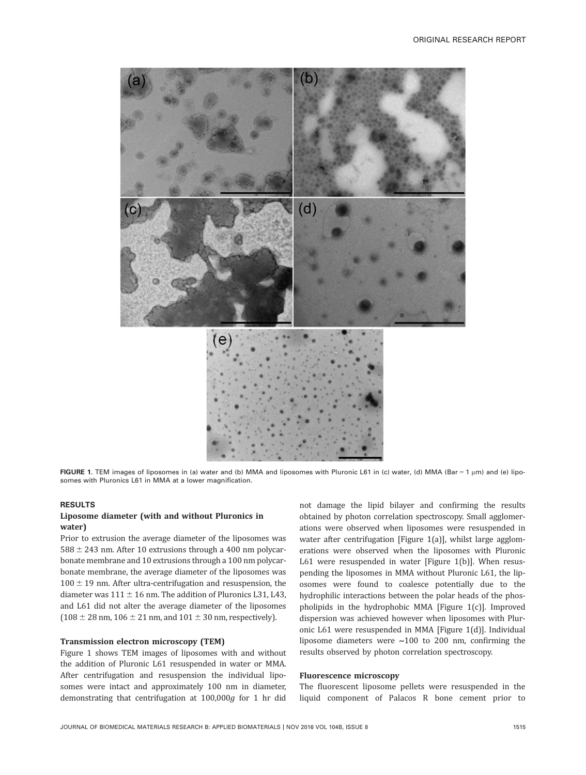

FIGURE 1. TEM images of liposomes in (a) water and (b) MMA and liposomes with Pluronic L61 in (c) water, (d) MMA (Bar = 1 µm) and (e) liposomes with Pluronics L61 in MMA at a lower magnification.

### RESULTS

# Liposome diameter (with and without Pluronics in water)

Prior to extrusion the average diameter of the liposomes was  $588 \pm 243$  nm. After 10 extrusions through a 400 nm polycarbonate membrane and 10 extrusions through a 100 nm polycarbonate membrane, the average diameter of the liposomes was  $100 \pm 19$  nm. After ultra-centrifugation and resuspension, the diameter was  $111 \pm 16$  nm. The addition of Pluronics L31, L43, and L61 did not alter the average diameter of the liposomes  $(108 \pm 28 \text{ nm}, 106 \pm 21 \text{ nm}, \text{and } 101 \pm 30 \text{ nm}, \text{respectively}).$ 

#### Transmission electron microscopy (TEM)

Figure 1 shows TEM images of liposomes with and without the addition of Pluronic L61 resuspended in water or MMA. After centrifugation and resuspension the individual liposomes were intact and approximately 100 nm in diameter, demonstrating that centrifugation at 100,000g for 1 hr did not damage the lipid bilayer and confirming the results obtained by photon correlation spectroscopy. Small agglomerations were observed when liposomes were resuspended in water after centrifugation [Figure 1(a)], whilst large agglomerations were observed when the liposomes with Pluronic L61 were resuspended in water [Figure 1(b)]. When resuspending the liposomes in MMA without Pluronic L61, the liposomes were found to coalesce potentially due to the hydrophilic interactions between the polar heads of the phospholipids in the hydrophobic MMA [Figure 1(c)]. Improved dispersion was achieved however when liposomes with Pluronic L61 were resuspended in MMA [Figure 1(d)]. Individual liposome diameters were ~100 to 200 nm, confirming the results observed by photon correlation spectroscopy.

#### Fluorescence microscopy

The fluorescent liposome pellets were resuspended in the liquid component of Palacos R bone cement prior to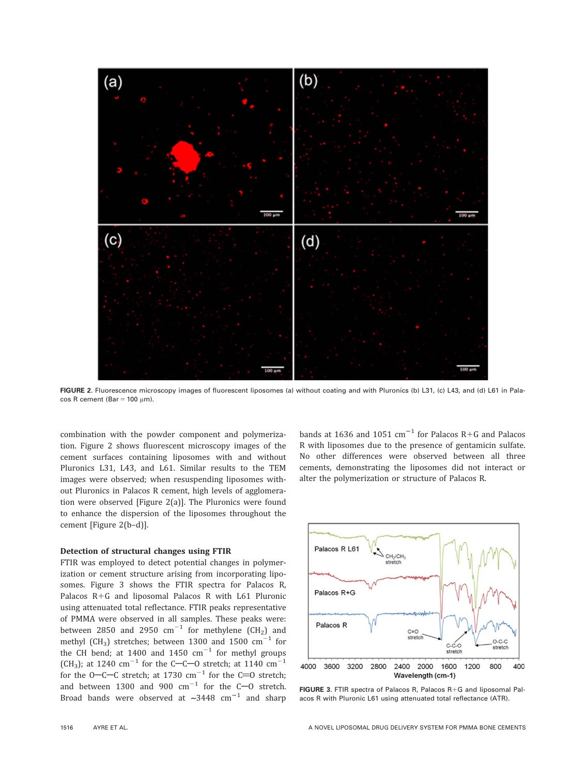

FIGURE 2. Fluorescence microscopy images of fluorescent liposomes (a) without coating and with Pluronics (b) L31, (c) L43, and (d) L61 in Pala- $\cos R$  cement (Bar = 100  $\mu$ m).

combination with the powder component and polymerization. Figure 2 shows fluorescent microscopy images of the cement surfaces containing liposomes with and without Pluronics L31, L43, and L61. Similar results to the TEM images were observed; when resuspending liposomes without Pluronics in Palacos R cement, high levels of agglomeration were observed [Figure 2(a)]. The Pluronics were found to enhance the dispersion of the liposomes throughout the cement [Figure 2(b–d)].

#### Detection of structural changes using FTIR

FTIR was employed to detect potential changes in polymerization or cement structure arising from incorporating liposomes. Figure 3 shows the FTIR spectra for Palacos R, Palacos  $R+G$  and liposomal Palacos R with L61 Pluronic using attenuated total reflectance. FTIR peaks representative of PMMA were observed in all samples. These peaks were: between 2850 and 2950  $cm^{-1}$  for methylene (CH<sub>2</sub>) and methyl (CH<sub>3</sub>) stretches; between 1300 and 1500  $\text{cm}^{-1}$  for the CH bend; at 1400 and 1450  $\text{cm}^{-1}$  for methyl groups (CH<sub>3</sub>); at 1240 cm<sup>-1</sup> for the C-C-O stretch; at 1140 cm<sup>-1</sup> for the O-C-C stretch; at 1730  $\text{cm}^{-1}$  for the C=0 stretch; and between 1300 and 900  $\text{cm}^{-1}$  for the C-O stretch. Broad bands were observed at  $\sim$ 3448 cm<sup>-1</sup> and sharp bands at 1636 and 1051  $\text{cm}^{-1}$  for Palacos R+G and Palacos R with liposomes due to the presence of gentamicin sulfate. No other differences were observed between all three cements, demonstrating the liposomes did not interact or alter the polymerization or structure of Palacos R.



FIGURE 3. FTIR spectra of Palacos R, Palacos  $R+G$  and liposomal Palacos R with Pluronic L61 using attenuated total reflectance (ATR).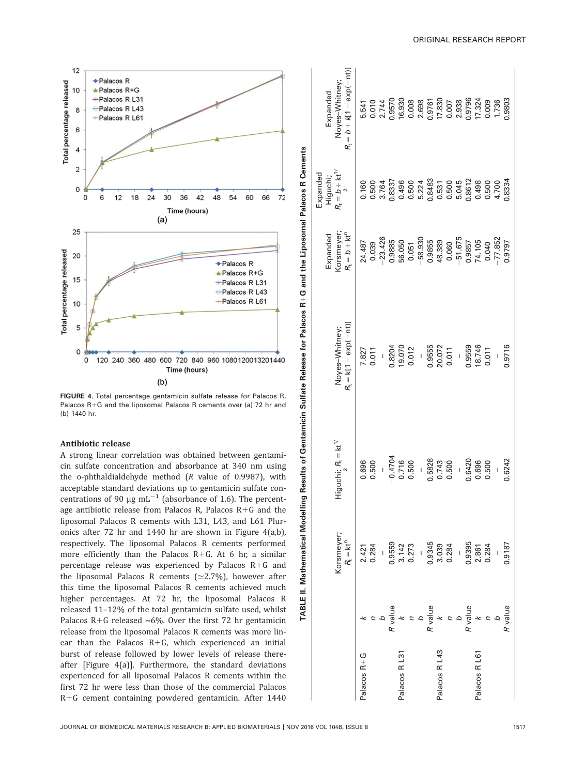

FIGURE 4. Total percentage gentamicin sulfate release for Palacos R, Palacos R+G and the liposomal Palacos R cements over (a) 72 hr and (b) 1440 hr.

#### Antibiotic release

A strong linear correlation was obtained between gentamicin sulfate concentration and absorbance at 340 nm using the o-phthaldialdehyde method (R value of 0.9987), with acceptable standard deviations up to gentamicin sulfate concentrations of 90  $\mu$ g mL<sup>-1</sup> (absorbance of 1.6). The percentage antibiotic release from Palacos R, Palacos  $R+G$  and the liposomal Palacos R cements with L31, L43, and L61 Pluronics after 72 hr and 1440 hr are shown in Figure 4(a,b), respectively. The liposomal Palacos R cements performed more efficiently than the Palacos  $R+G$ . At 6 hr, a similar percentage release was experienced by Palacos  $R+G$  and the liposomal Palacos R cements ( $\simeq$ 2.7%), however after this time the liposomal Palacos R cements achieved much higher percentages. At 72 hr, the liposomal Palacos R released 11–12% of the total gentamicin sulfate used, whilst Palacos R+G released  $\sim 6\%$ . Over the first 72 hr gentamicin release from the liposomal Palacos R cements was more linear than the Palacos  $R+G$ , which experienced an initial burst of release followed by lower levels of release thereafter [Figure 4(a)]. Furthermore, the standard deviations experienced for all liposomal Palacos R cements within the first 72 hr were less than those of the commercial Palacos R+G cement containing powdered gentamicin. After 1440

|                          |                | Korsmeyer;<br>$R_t = kt^n$ | Higuchi; $R_t = kt^{\gamma}$ | $R_t = k[1 - exp(-nt)]$<br>Noyes-Whitney; | $R_t = b + kt^n$<br>Korsmeyer;<br>Expanded | $R_{\rm t} = b + {\rm kt}^{1/7}$<br>Expanded<br>Higuchi; | $R_t = b + k(1 - \exp(-nt))$<br>Noyes-Whitney;<br>Expanded |
|--------------------------|----------------|----------------------------|------------------------------|-------------------------------------------|--------------------------------------------|----------------------------------------------------------|------------------------------------------------------------|
| Palacos R+G              |                | 2.421<br>0.284             | 0.696                        | 7.827                                     | 24.487                                     |                                                          |                                                            |
|                          |                |                            | 0.500<br>$\overline{1}$      | 0.011<br>$\frac{1}{2}$                    | $-23.426$<br>0.039                         | 0.160<br>0.500<br>3.764                                  | 5.541<br>0.010<br>2.744<br>0.9570<br>0.008<br>0.008        |
|                          | R value        |                            | $-0.4704$                    |                                           | 0.9885                                     | 0.8337                                                   |                                                            |
| Palacos R <sub>L31</sub> | $\star$        | 0.9559<br>3.142<br>0.273   | 0.716                        | 0.8204<br>19.070<br>0.012                 | 56.050                                     | 0.496                                                    |                                                            |
|                          | $\overline{a}$ |                            | 0.500                        |                                           | 0.051<br>-58.930                           | 0.500                                                    |                                                            |
|                          | $\sigma$       | $\mathbf{I}$               | $\overline{1}$               | $\overline{1}$                            |                                            |                                                          |                                                            |
|                          | R value        | 0.9345<br>3.039<br>0.284   | 0.5828                       | 0.9555                                    | 0.9855<br>48.389                           | 5.224<br>0.8483                                          |                                                            |
| Palacos R <sub>L43</sub> | $\star$        |                            | 0.743                        | 20.072                                    |                                            |                                                          |                                                            |
|                          | $\alpha$       |                            | 0.500                        | 0.011                                     | $0.060 - 51.675$                           | 0.531<br>0.500<br>5.045                                  | 0.9761<br>17.830<br>0.007<br>2.938                         |
|                          |                | $\overline{1}$             | $\overline{1}$               | $\frac{1}{\sqrt{2}}$                      |                                            |                                                          |                                                            |
|                          | R value        | 0.9395                     | 0.6420                       | 0.9559                                    |                                            |                                                          |                                                            |
| Palacos R L61            | $\star$        | 2.861                      | 0.696                        | 18.746                                    | 0.9857<br>74.105                           | 0.8612<br>0.498                                          |                                                            |
|                          |                | 0.284                      | 0.500                        | 0.011                                     | $0.040$<br>$-77.852$                       | 0.500<br>4.700                                           | 0.9796<br>17.324<br>0.009<br>1.736                         |
|                          |                |                            | $\mathbf{I}$                 | $\overline{1}$                            |                                            |                                                          |                                                            |
|                          | R value        | 0.9187                     | 0.6242                       | 0.9716                                    | 0.9797                                     | 0.8334                                                   | 0.9803                                                     |
|                          |                |                            |                              |                                           |                                            |                                                          |                                                            |

TABLE II. Mathematical Modelling Results of Gentamicin Sulfate Release for Palacos R

**TABLE II.** 

Mathematical Modelling Results of Gentamicin Sulfate Release for Palacos R+G and the Liposomal Palacos R Cements

1G and the Liposomal Palacos R Cements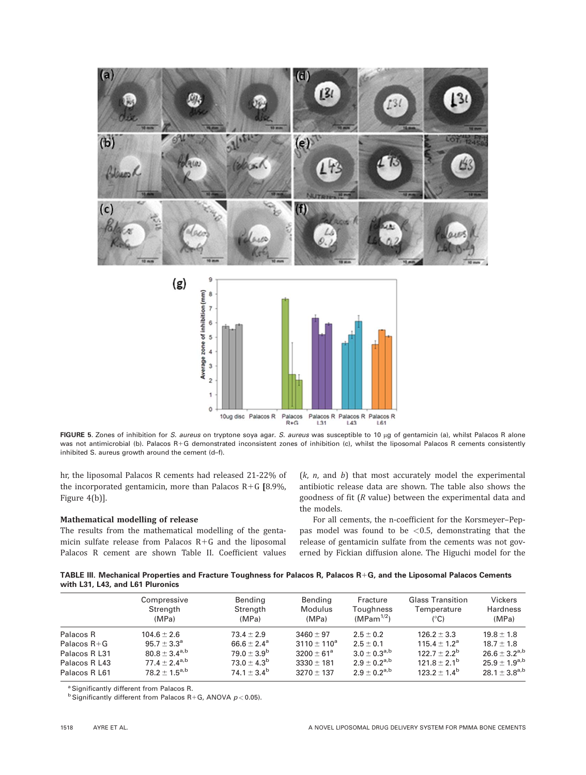

FIGURE 5. Zones of inhibition for S. aureus on tryptone soya agar. S. aureus was susceptible to 10 µg of gentamicin (a), whilst Palacos R alone was not antimicrobial (b). Palacos R+G demonstrated inconsistent zones of inhibition (c), whilst the liposomal Palacos R cements consistently inhibited S. aureus growth around the cement (d–f).

hr, the liposomal Palacos R cements had released 21-22% of the incorporated gentamicin, more than Palacos  $R+G$  [8.9%, Figure 4(b)].

## Mathematical modelling of release

The results from the mathematical modelling of the gentamicin sulfate release from Palacos  $R+G$  and the liposomal Palacos R cement are shown Table II. Coefficient values  $(k, n,$  and  $b)$  that most accurately model the experimental antibiotic release data are shown. The table also shows the goodness of fit (R value) between the experimental data and the models.

For all cements, the n-coefficient for the Korsmeyer–Peppas model was found to be  $<$  0.5, demonstrating that the release of gentamicin sulfate from the cements was not governed by Fickian diffusion alone. The Higuchi model for the

TABLE III. Mechanical Properties and Fracture Toughness for Palacos R, Palacos R1G, and the Liposomal Palacos Cements with L31, L43, and L61 Pluronics

|                 | Compressive<br>Strength<br>(MPa) | Bending<br>Strength<br>(MPa) | Bending<br>Modulus<br>(MPa) | Fracture<br>Toughness<br>$(MPam^{1/2})$ | <b>Glass Transition</b><br>Temperature<br>$(^{\circ}C)$ | <b>Vickers</b><br><b>Hardness</b><br>(MPa) |
|-----------------|----------------------------------|------------------------------|-----------------------------|-----------------------------------------|---------------------------------------------------------|--------------------------------------------|
| Palacos R       | $104.6 \pm 2.6$                  | $73.4 \pm 2.9$               | $3460 \pm 97$               | $2.5 \pm 0.2$                           | $126.2 \pm 3.3$                                         | $19.8 \pm 1.8$                             |
| Palacos $R + G$ | $95.7 \pm 3.3^{\circ}$           | $66.6 \pm 2.4^{\circ}$       | $3110 \pm 110^a$            | $2.5 + 0.1$                             | $115.4 \pm 1.2^{\circ}$                                 | $18.7 + 1.8$                               |
| Palacos R L31   | $80.8 + 3.4^{a,b}$               | $79.0 + 3.9^b$               | $3200 \pm 61^{\circ}$       | $3.0 + 0.3^{a,b}$                       | $122.7 + 2.2^b$                                         | $26.6 + 3.2^{a,b}$                         |
| Palacos R L43   | $77.4 \pm 2.4^{a,b}$             | $73.0 + 4.3^{b}$             | $3330 \pm 181$              | $2.9 + 0.2^{a,b}$                       | $121.8 \pm 2.1^{\rm b}$                                 | $25.9 + 1.9^{a,b}$                         |
| Palacos R L61   | $78.2 + 1.5^{a,b}$               | $74.1 + 3.4^{b}$             | $3270 \pm 137$              | $2.9 + 0.2^{a,b}$                       | $123.2 + 1.4^b$                                         | $28.1 + 3.8^{a,b}$                         |

<sup>a</sup> Significantly different from Palacos R.

 $b$  Significantly different from Palacos R+G, ANOVA  $p < 0.05$ ).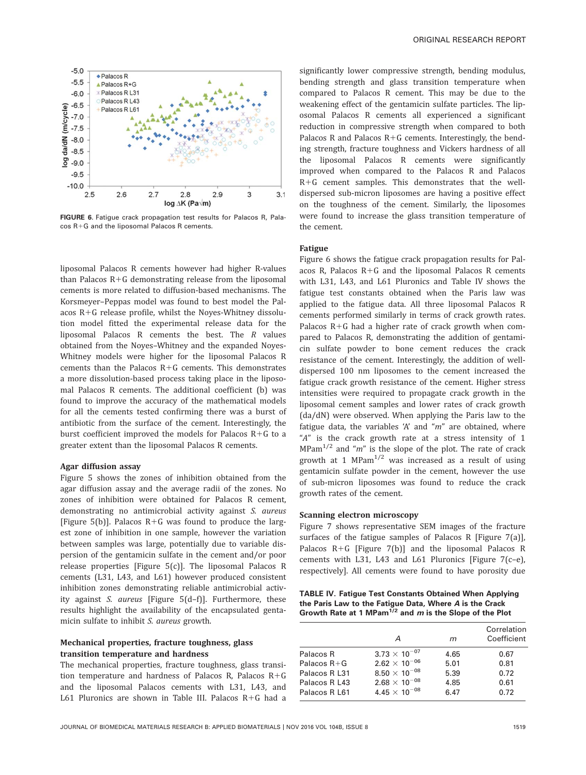

FIGURE 6. Fatigue crack propagation test results for Palacos R, Palacos R+G and the liposomal Palacos R cements.

liposomal Palacos R cements however had higher R-values than Palacos  $R + G$  demonstrating release from the liposomal cements is more related to diffusion-based mechanisms. The Korsmeyer–Peppas model was found to best model the Palacos  $R+G$  release profile, whilst the Noyes-Whitney dissolution model fitted the experimental release data for the liposomal Palacos R cements the best. The R values obtained from the Noyes–Whitney and the expanded Noyes-Whitney models were higher for the liposomal Palacos R cements than the Palacos  $R+G$  cements. This demonstrates a more dissolution-based process taking place in the liposomal Palacos R cements. The additional coefficient (b) was found to improve the accuracy of the mathematical models for all the cements tested confirming there was a burst of antibiotic from the surface of the cement. Interestingly, the burst coefficient improved the models for Palacos  $R+G$  to a greater extent than the liposomal Palacos R cements.

#### Agar diffusion assay

Figure 5 shows the zones of inhibition obtained from the agar diffusion assay and the average radii of the zones. No zones of inhibition were obtained for Palacos R cement, demonstrating no antimicrobial activity against S. aureus [Figure 5(b)]. Palacos  $R+G$  was found to produce the largest zone of inhibition in one sample, however the variation between samples was large, potentially due to variable dispersion of the gentamicin sulfate in the cement and/or poor release properties [Figure 5(c)]. The liposomal Palacos R cements (L31, L43, and L61) however produced consistent inhibition zones demonstrating reliable antimicrobial activity against S. aureus [Figure 5(d–f)]. Furthermore, these results highlight the availability of the encapsulated gentamicin sulfate to inhibit S. aureus growth.

# Mechanical properties, fracture toughness, glass transition temperature and hardness

The mechanical properties, fracture toughness, glass transition temperature and hardness of Palacos R, Palacos  $R+G$ and the liposomal Palacos cements with L31, L43, and L61 Pluronics are shown in Table III. Palacos  $R+G$  had a

significantly lower compressive strength, bending modulus, bending strength and glass transition temperature when compared to Palacos R cement. This may be due to the weakening effect of the gentamicin sulfate particles. The liposomal Palacos R cements all experienced a significant reduction in compressive strength when compared to both Palacos R and Palacos  $R+G$  cements. Interestingly, the bending strength, fracture toughness and Vickers hardness of all the liposomal Palacos R cements were significantly improved when compared to the Palacos R and Palacos  $R+G$  cement samples. This demonstrates that the welldispersed sub-micron liposomes are having a positive effect on the toughness of the cement. Similarly, the liposomes were found to increase the glass transition temperature of the cement.

#### Fatigue

Figure 6 shows the fatigue crack propagation results for Palacos R, Palacos  $R + G$  and the liposomal Palacos R cements with L31, L43, and L61 Pluronics and Table IV shows the fatigue test constants obtained when the Paris law was applied to the fatigue data. All three liposomal Palacos R cements performed similarly in terms of crack growth rates. Palacos  $R + G$  had a higher rate of crack growth when compared to Palacos R, demonstrating the addition of gentamicin sulfate powder to bone cement reduces the crack resistance of the cement. Interestingly, the addition of welldispersed 100 nm liposomes to the cement increased the fatigue crack growth resistance of the cement. Higher stress intensities were required to propagate crack growth in the liposomal cement samples and lower rates of crack growth (da/dN) were observed. When applying the Paris law to the fatigue data, the variables 'A' and " $m$ " are obtained, where "A" is the crack growth rate at a stress intensity of 1  $MPam<sup>1/2</sup>$  and "m" is the slope of the plot. The rate of crack growth at 1 MPam $^{1/2}$  was increased as a result of using gentamicin sulfate powder in the cement, however the use of sub-micron liposomes was found to reduce the crack growth rates of the cement.

#### Scanning electron microscopy

Figure 7 shows representative SEM images of the fracture surfaces of the fatigue samples of Palacos R [Figure 7(a)], Palacos  $R+G$  [Figure 7(b)] and the liposomal Palacos R cements with L31, L43 and L61 Pluronics [Figure 7(c–e), respectively]. All cements were found to have porosity due

TABLE IV. Fatigue Test Constants Obtained When Applying the Paris Law to the Fatigue Data, Where A is the Crack Growth Rate at 1 MPam $^{1/2}$  and m is the Slope of the Plot

|                 | А                               | m    | Correlation<br>Coefficient |
|-----------------|---------------------------------|------|----------------------------|
| Palacos R       | $3.73 \times 10^{-07}$          | 4.65 | 0.67                       |
| Palacos $R + G$ | $2.62 \times 10^{-06}$          | 5.01 | 0.81                       |
| Palacos R L31   | 8.50 $\times$ 10 <sup>-08</sup> | 5.39 | 0.72                       |
| Palacos R L43   | $2.68 \times 10^{-08}$          | 4.85 | 0.61                       |
| Palacos R L61   | 4.45 $\times$ 10 <sup>-08</sup> | 6.47 | 0.72                       |
|                 |                                 |      |                            |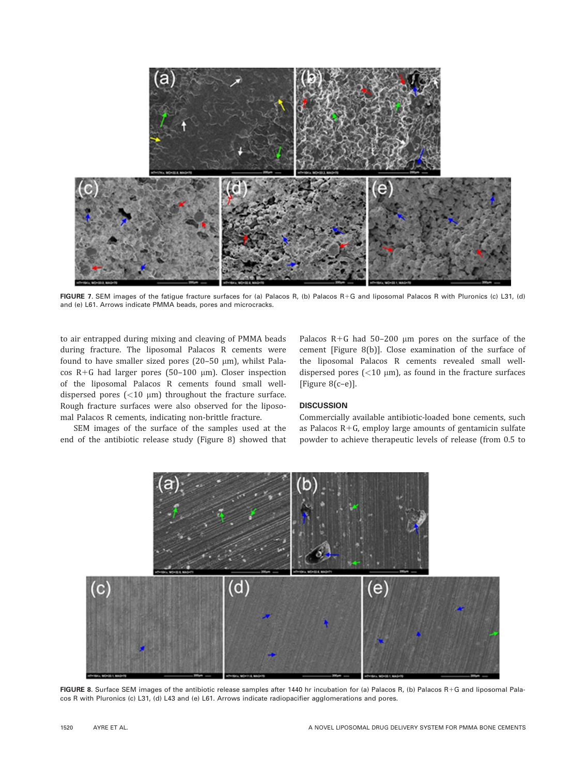

FIGURE 7. SEM images of the fatigue fracture surfaces for (a) Palacos R, (b) Palacos R+G and liposomal Palacos R with Pluronics (c) L31, (d) and (e) L61. Arrows indicate PMMA beads, pores and microcracks.

to air entrapped during mixing and cleaving of PMMA beads during fracture. The liposomal Palacos R cements were found to have smaller sized pores (20-50  $\mu$ m), whilst Palacos R+G had larger pores (50-100  $\mu$ m). Closer inspection of the liposomal Palacos R cements found small welldispersed pores  $\left($  < 10  $\mu$ m) throughout the fracture surface. Rough fracture surfaces were also observed for the liposomal Palacos R cements, indicating non-brittle fracture.

SEM images of the surface of the samples used at the end of the antibiotic release study (Figure 8) showed that Palacos  $R + G$  had 50–200 µm pores on the surface of the cement [Figure 8(b)]. Close examination of the surface of the liposomal Palacos R cements revealed small welldispersed pores  $\left($  < 10  $\mu$ m), as found in the fracture surfaces [Figure 8(c–e)].

# **DISCUSSION**

Commercially available antibiotic-loaded bone cements, such as Palacos  $R + G$ , employ large amounts of gentamicin sulfate powder to achieve therapeutic levels of release (from 0.5 to



FIGURE 8. Surface SEM images of the antibiotic release samples after 1440 hr incubation for (a) Palacos R, (b) Palacos R+G and liposomal Palacos R with Pluronics (c) L31, (d) L43 and (e) L61. Arrows indicate radiopacifier agglomerations and pores.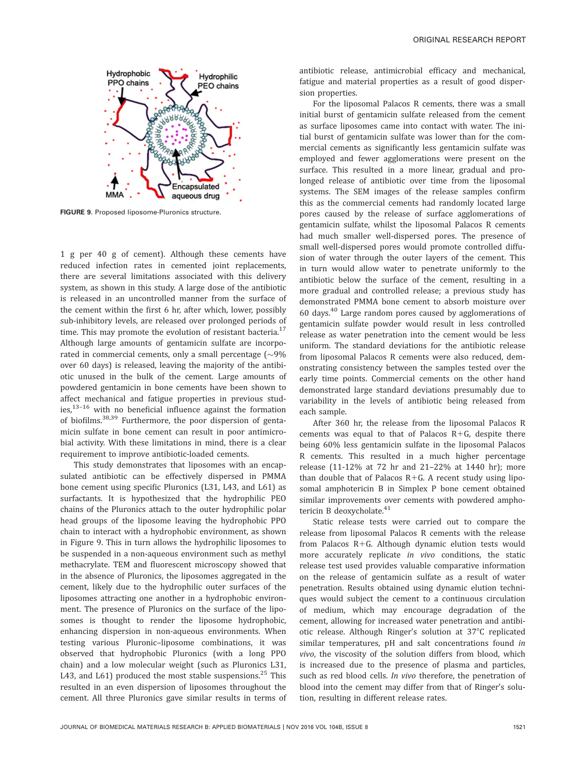

FIGURE 9. Proposed liposome-Pluronics structure.

1 g per 40 g of cement). Although these cements have reduced infection rates in cemented joint replacements, there are several limitations associated with this delivery system, as shown in this study. A large dose of the antibiotic is released in an uncontrolled manner from the surface of the cement within the first 6 hr, after which, lower, possibly sub-inhibitory levels, are released over prolonged periods of time. This may promote the evolution of resistant bacteria. $17$ Although large amounts of gentamicin sulfate are incorporated in commercial cements, only a small percentage ( $\sim$ 9% over 60 days) is released, leaving the majority of the antibiotic unused in the bulk of the cement. Large amounts of powdered gentamicin in bone cements have been shown to affect mechanical and fatigue properties in previous studies, $13-16$  with no beneficial influence against the formation of biofilms.<sup>38,39</sup> Furthermore, the poor dispersion of gentamicin sulfate in bone cement can result in poor antimicrobial activity. With these limitations in mind, there is a clear requirement to improve antibiotic-loaded cements.

This study demonstrates that liposomes with an encapsulated antibiotic can be effectively dispersed in PMMA bone cement using specific Pluronics (L31, L43, and L61) as surfactants. It is hypothesized that the hydrophilic PEO chains of the Pluronics attach to the outer hydrophilic polar head groups of the liposome leaving the hydrophobic PPO chain to interact with a hydrophobic environment, as shown in Figure 9. This in turn allows the hydrophilic liposomes to be suspended in a non-aqueous environment such as methyl methacrylate. TEM and fluorescent microscopy showed that in the absence of Pluronics, the liposomes aggregated in the cement, likely due to the hydrophilic outer surfaces of the liposomes attracting one another in a hydrophobic environment. The presence of Pluronics on the surface of the liposomes is thought to render the liposome hydrophobic, enhancing dispersion in non-aqueous environments. When testing various Pluronic–liposome combinations, it was observed that hydrophobic Pluronics (with a long PPO chain) and a low molecular weight (such as Pluronics L31, L43, and L61) produced the most stable suspensions.<sup>25</sup> This resulted in an even dispersion of liposomes throughout the cement. All three Pluronics gave similar results in terms of antibiotic release, antimicrobial efficacy and mechanical, fatigue and material properties as a result of good dispersion properties.

For the liposomal Palacos R cements, there was a small initial burst of gentamicin sulfate released from the cement as surface liposomes came into contact with water. The initial burst of gentamicin sulfate was lower than for the commercial cements as significantly less gentamicin sulfate was employed and fewer agglomerations were present on the surface. This resulted in a more linear, gradual and prolonged release of antibiotic over time from the liposomal systems. The SEM images of the release samples confirm this as the commercial cements had randomly located large pores caused by the release of surface agglomerations of gentamicin sulfate, whilst the liposomal Palacos R cements had much smaller well-dispersed pores. The presence of small well-dispersed pores would promote controlled diffusion of water through the outer layers of the cement. This in turn would allow water to penetrate uniformly to the antibiotic below the surface of the cement, resulting in a more gradual and controlled release; a previous study has demonstrated PMMA bone cement to absorb moisture over 60 days. $40$  Large random pores caused by agglomerations of gentamicin sulfate powder would result in less controlled release as water penetration into the cement would be less uniform. The standard deviations for the antibiotic release from liposomal Palacos R cements were also reduced, demonstrating consistency between the samples tested over the early time points. Commercial cements on the other hand demonstrated large standard deviations presumably due to variability in the levels of antibiotic being released from each sample.

After 360 hr, the release from the liposomal Palacos R cements was equal to that of Palacos  $R+G$ , despite there being 60% less gentamicin sulfate in the liposomal Palacos R cements. This resulted in a much higher percentage release (11-12% at 72 hr and 21–22% at 1440 hr); more than double that of Palacos  $R+G$ . A recent study using liposomal amphotericin B in Simplex P bone cement obtained similar improvements over cements with powdered amphotericin B deoxycholate.<sup>41</sup>

Static release tests were carried out to compare the release from liposomal Palacos R cements with the release from Palacos  $R + G$ . Although dynamic elution tests would more accurately replicate in vivo conditions, the static release test used provides valuable comparative information on the release of gentamicin sulfate as a result of water penetration. Results obtained using dynamic elution techniques would subject the cement to a continuous circulation of medium, which may encourage degradation of the cement, allowing for increased water penetration and antibiotic release. Although Ringer's solution at 37°C replicated similar temperatures, pH and salt concentrations found in vivo, the viscosity of the solution differs from blood, which is increased due to the presence of plasma and particles, such as red blood cells. In vivo therefore, the penetration of blood into the cement may differ from that of Ringer's solution, resulting in different release rates.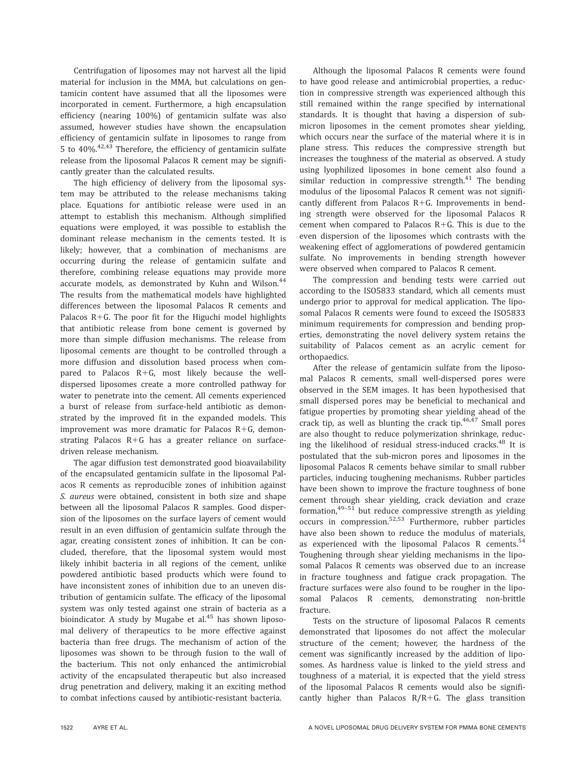Centrifugation of liposomes may not harvest all the lipid material for inclusion in the MMA, but calculations on gentamicin content have assumed that all the liposomes were incorporated in cement. Furthermore, a high encapsulation efficiency (nearing 100%) of gentamicin sulfate was also assumed, however studies have shown the encapsulation efficiency of gentamicin sulfate in liposomes to range from 5 to  $40\%$ .<sup>42,43</sup> Therefore, the efficiency of gentamicin sulfate release from the liposomal Palacos R cement may be significantly greater than the calculated results.

The high efficiency of delivery from the liposomal system may be attributed to the release mechanisms taking place. Equations for antibiotic release were used in an attempt to establish this mechanism. Although simplified equations were employed, it was possible to establish the dominant release mechanism in the cements tested. It is likely; however, that a combination of mechanisms are occurring during the release of gentamicin sulfate and therefore, combining release equations may provide more accurate models, as demonstrated by Kuhn and Wilson.<sup>44</sup> The results from the mathematical models have highlighted differences between the liposomal Palacos R cements and Palacos  $R + G$ . The poor fit for the Higuchi model highlights that antibiotic release from bone cement is governed by more than simple diffusion mechanisms. The release from liposomal cements are thought to be controlled through a more diffusion and dissolution based process when compared to Palacos  $R+G$ , most likely because the welldispersed liposomes create a more controlled pathway for water to penetrate into the cement. All cements experienced a burst of release from surface-held antibiotic as demonstrated by the improved fit in the expanded models. This improvement was more dramatic for Palacos  $R+G$ , demonstrating Palacos  $R+G$  has a greater reliance on surfacedriven release mechanism.

The agar diffusion test demonstrated good bioavailability of the encapsulated gentamicin sulfate in the liposomal Palacos R cements as reproducible zones of inhibition against S. aureus were obtained, consistent in both size and shape between all the liposomal Palacos R samples. Good dispersion of the liposomes on the surface layers of cement would result in an even diffusion of gentamicin sulfate through the agar, creating consistent zones of inhibition. It can be concluded, therefore, that the liposomal system would most likely inhibit bacteria in all regions of the cement, unlike powdered antibiotic based products which were found to have inconsistent zones of inhibition due to an uneven distribution of gentamicin sulfate. The efficacy of the liposomal system was only tested against one strain of bacteria as a bioindicator. A study by Mugabe et al.<sup>45</sup> has shown liposomal delivery of therapeutics to be more effective against bacteria than free drugs. The mechanism of action of the liposomes was shown to be through fusion to the wall of the bacterium. This not only enhanced the antimicrobial activity of the encapsulated therapeutic but also increased drug penetration and delivery, making it an exciting method to combat infections caused by antibiotic-resistant bacteria.

Although the liposomal Palacos R cements were found to have good release and antimicrobial properties, a reduction in compressive strength was experienced although this still remained within the range specified by international standards. It is thought that having a dispersion of submicron liposomes in the cement promotes shear yielding, which occurs near the surface of the material where it is in plane stress. This reduces the compressive strength but increases the toughness of the material as observed. A study using lyophilized liposomes in bone cement also found a similar reduction in compressive strength. $41$  The bending modulus of the liposomal Palacos R cement was not significantly different from Palacos  $R+G$ . Improvements in bending strength were observed for the liposomal Palacos R cement when compared to Palacos  $R+G$ . This is due to the even dispersion of the liposomes which contrasts with the weakening effect of agglomerations of powdered gentamicin sulfate. No improvements in bending strength however were observed when compared to Palacos R cement.

The compression and bending tests were carried out according to the ISO5833 standard, which all cements must undergo prior to approval for medical application. The liposomal Palacos R cements were found to exceed the ISO5833 minimum requirements for compression and bending properties, demonstrating the novel delivery system retains the suitability of Palacos cement as an acrylic cement for orthopaedics.

After the release of gentamicin sulfate from the liposomal Palacos R cements, small well-dispersed pores were observed in the SEM images. It has been hypothesised that small dispersed pores may be beneficial to mechanical and fatigue properties by promoting shear yielding ahead of the crack tip, as well as blunting the crack tip. $46,47$  Small pores are also thought to reduce polymerization shrinkage, reducing the likelihood of residual stress-induced cracks.<sup>48</sup> It is postulated that the sub-micron pores and liposomes in the liposomal Palacos R cements behave similar to small rubber particles, inducing toughening mechanisms. Rubber particles have been shown to improve the fracture toughness of bone cement through shear yielding, crack deviation and craze formation, $49-51$  but reduce compressive strength as yielding occurs in compression.52,53 Furthermore, rubber particles have also been shown to reduce the modulus of materials, as experienced with the liposomal Palacos R cements. $54$ Toughening through shear yielding mechanisms in the liposomal Palacos R cements was observed due to an increase in fracture toughness and fatigue crack propagation. The fracture surfaces were also found to be rougher in the liposomal Palacos R cements, demonstrating non-brittle fracture.

Tests on the structure of liposomal Palacos R cements demonstrated that liposomes do not affect the molecular structure of the cement; however, the hardness of the cement was significantly increased by the addition of liposomes. As hardness value is linked to the yield stress and toughness of a material, it is expected that the yield stress of the liposomal Palacos R cements would also be significantly higher than Palacos  $R/R+G$ . The glass transition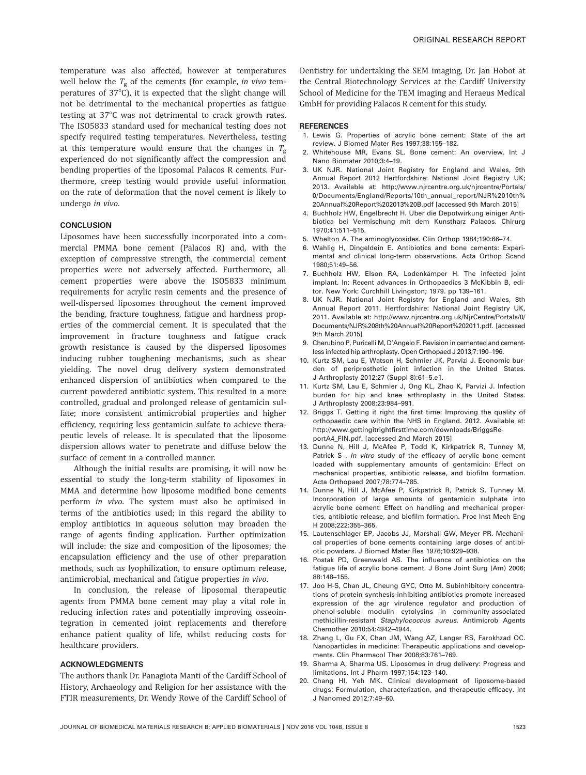temperature was also affected, however at temperatures well below the  $T_g$  of the cements (for example, in vivo temperatures of  $37^{\circ}$ C), it is expected that the slight change will not be detrimental to the mechanical properties as fatigue testing at  $37^{\circ}$ C was not detrimental to crack growth rates. The ISO5833 standard used for mechanical testing does not specify required testing temperatures. Nevertheless, testing at this temperature would ensure that the changes in  $T_g$ experienced do not significantly affect the compression and bending properties of the liposomal Palacos R cements. Furthermore, creep testing would provide useful information on the rate of deformation that the novel cement is likely to undergo in vivo.

# **CONCLUSION**

Liposomes have been successfully incorporated into a commercial PMMA bone cement (Palacos R) and, with the exception of compressive strength, the commercial cement properties were not adversely affected. Furthermore, all cement properties were above the ISO5833 minimum requirements for acrylic resin cements and the presence of well-dispersed liposomes throughout the cement improved the bending, fracture toughness, fatigue and hardness properties of the commercial cement. It is speculated that the improvement in fracture toughness and fatigue crack growth resistance is caused by the dispersed liposomes inducing rubber toughening mechanisms, such as shear yielding. The novel drug delivery system demonstrated enhanced dispersion of antibiotics when compared to the current powdered antibiotic system. This resulted in a more controlled, gradual and prolonged release of gentamicin sulfate; more consistent antimicrobial properties and higher efficiency, requiring less gentamicin sulfate to achieve therapeutic levels of release. It is speculated that the liposome dispersion allows water to penetrate and diffuse below the surface of cement in a controlled manner.

Although the initial results are promising, it will now be essential to study the long-term stability of liposomes in MMA and determine how liposome modified bone cements perform in vivo. The system must also be optimised in terms of the antibiotics used; in this regard the ability to employ antibiotics in aqueous solution may broaden the range of agents finding application. Further optimization will include: the size and composition of the liposomes; the encapsulation efficiency and the use of other preparation methods, such as lyophilization, to ensure optimum release, antimicrobial, mechanical and fatigue properties in vivo.

In conclusion, the release of liposomal therapeutic agents from PMMA bone cement may play a vital role in reducing infection rates and potentially improving osseointegration in cemented joint replacements and therefore enhance patient quality of life, whilst reducing costs for healthcare providers.

### ACKNOWLEDGMENTS

The authors thank Dr. Panagiota Manti of the Cardiff School of History, Archaeology and Religion for her assistance with the FTIR measurements, Dr. Wendy Rowe of the Cardiff School of Dentistry for undertaking the SEM imaging, Dr. Jan Hobot at the Central Biotechnology Services at the Cardiff University School of Medicine for the TEM imaging and Heraeus Medical GmbH for providing Palacos R cement for this study.

#### REFERENCES

- 1. Lewis G. Properties of acrylic bone cement: State of the art review. J Biomed Mater Res 1997;38:155–182.
- 2. Whitehouse MR, Evans SL. Bone cement: An overview. Int J Nano Biomater 2010;3:4–19.
- 3. UK NJR. National Joint Registry for England and Wales, 9th Annual Report 2012 Hertfordshire: National Joint Registry UK; 2013. Available at: [http://www.njrcentre.org.uk/njrcentre/Portals/](http://www.njrcentre.org.uk/njrcentre/Portals/0/Documents/England/Reports/10th_annual_report/NJR%2010th%20Annual%20Report%202013%20B.pdf) [0/Documents/England/Reports/10th\\_annual\\_report/NJR%2010th%](http://www.njrcentre.org.uk/njrcentre/Portals/0/Documents/England/Reports/10th_annual_report/NJR%2010th%20Annual%20Report%202013%20B.pdf) [20Annual%20Report%202013%20B.pdf \[accessed 9th March 2015\]](http://www.njrcentre.org.uk/njrcentre/Portals/0/Documents/England/Reports/10th_annual_report/NJR%2010th%20Annual%20Report%202013%20B.pdf)
- 4. Buchholz HW, Engelbrecht H. Uber die Depotwirkung einiger Antibiotica bei Vermischung mit dem Kunstharz Palacos. Chirurg 1970;41:511–515.
- 5. Whelton A. The aminoglycosides. Clin Orthop 1984;190:66–74.
- 6. Wahlig H, Dingeldein E. Antibiotics and bone cements: Experimental and clinical long-term observations. Acta Orthop Scand 1980;51:49–56.
- 7. Buchholz HW, Elson RA, Lodenkämper H. The infected joint implant. In: Recent advances in Orthopaedics 3 McKibbin B, editor. New York: Curchhill Livingston; 1979. pp 139–161.
- 8. UK NJR. National Joint Registry for England and Wales, 8th Annual Report 2011. Hertfordshire: National Joint Registry UK, 2011. Available at: [http://www.njrcentre.org.uk/NjrCentre/Portals/0/](http://www.njrcentre.org.uk/NjrCentre/Portals/0/Documents/NJR%208th%20Annual%20Report%202011.pdf) [Documents/NJR%208th%20Annual%20Report%202011.pdf.](http://www.njrcentre.org.uk/NjrCentre/Portals/0/Documents/NJR%208th%20Annual%20Report%202011.pdf) [accessed 9th March 2015]
- 9. Cherubino P, Puricelli M, D'Angelo F. Revision in cemented and cementless infected hip arthroplasty. Open Orthopaed J 2013;7:190–196.
- 10. Kurtz SM, Lau E, Watson H, Schmier JK, Parvizi J. Economic burden of periprosthetic joint infection in the United States. J Arthroplasty 2012;27 (Suppl 8):61–5.e1.
- 11. Kurtz SM, Lau E, Schmier J, Ong KL, Zhao K, Parvizi J. Infection burden for hip and knee arthroplasty in the United States. J Arthroplasty 2008;23:984–991.
- 12. Briggs T. Getting it right the first time: Improving the quality of orthopaedic care within the NHS in England. 2012. Available at: [http://www.gettingitrightfirsttime.com/downloads/BriggsRe](http://www.gettingitrightfirsttime.com/downloads/BriggsReportA4_FIN.pdf)[portA4\\_FIN.pdf](http://www.gettingitrightfirsttime.com/downloads/BriggsReportA4_FIN.pdf). [accessed 2nd March 2015]
- 13. Dunne N, Hill J, McAfee P, Todd K, Kirkpatrick R, Tunney M, Patrick S . In vitro study of the efficacy of acrylic bone cement loaded with supplementary amounts of gentamicin: Effect on mechanical properties, antibiotic release, and biofilm formation. Acta Orthopaed 2007;78:774–785.
- 14. Dunne N, Hill J, McAfee P, Kirkpatrick R, Patrick S, Tunney M. Incorporation of large amounts of gentamicin sulphate into acrylic bone cement: Effect on handling and mechanical properties, antibiotic release, and biofilm formation. Proc Inst Mech Eng H 2008;222:355–365.
- 15. Lautenschlager EP, Jacobs JJ, Marshall GW, Meyer PR. Mechanical properties of bone cements containing large doses of antibiotic powders. J Biomed Mater Res 1976;10:929–938.
- 16. Postak PD, Greenwald AS. The influence of antibiotics on the fatigue life of acrylic bone cement. J Bone Joint Surg (Am) 2006; 88:148–155.
- 17. Joo H-S, Chan JL, Cheung GYC, Otto M. Subinhibitory concentrations of protein synthesis-inhibiting antibiotics promote increased expression of the agr virulence regulator and production of phenol-soluble modulin cytolysins in community-associated methicillin-resistant Staphylococcus aureus. Antimicrob Agents Chemother 2010;54:4942–4944.
- 18. Zhang L, Gu FX, Chan JM, Wang AZ, Langer RS, Farokhzad OC. Nanoparticles in medicine: Therapeutic applications and developments. Clin Pharmacol Ther 2008;83:761–769.
- 19. Sharma A, Sharma US. Liposomes in drug delivery: Progress and limitations. Int J Pharm 1997;154:123–140.
- 20. Chang HI, Yeh MK. Clinical development of liposome-based drugs: Formulation, characterization, and therapeutic efficacy. Int J Nanomed 2012;7:49–60.